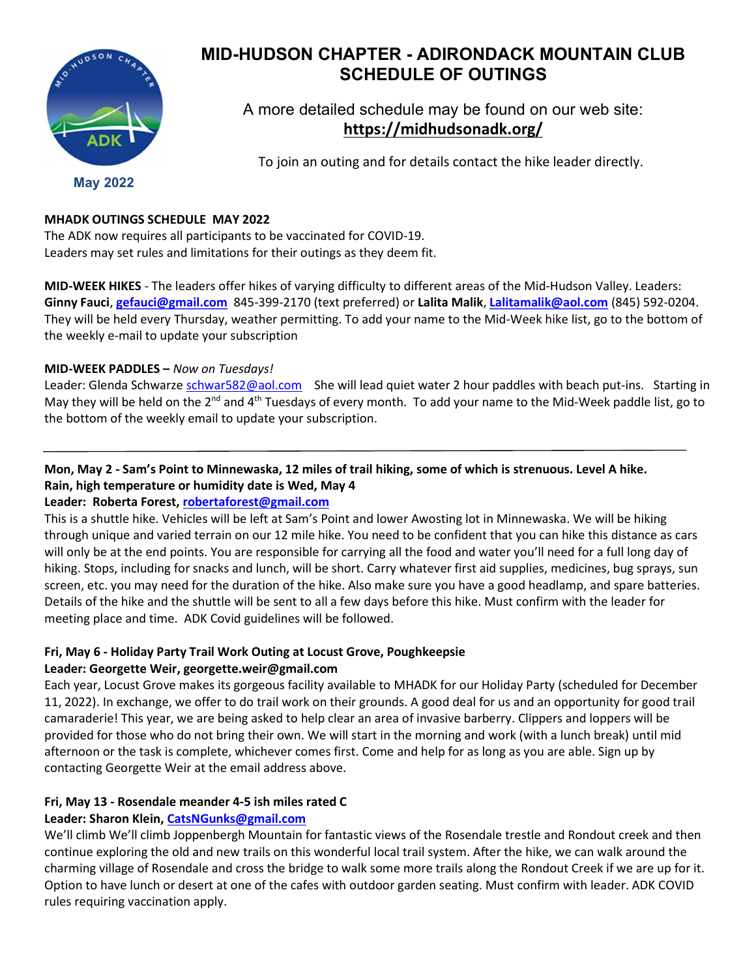

# MID-HUDSON CHAPTER - ADIRONDACK MOUNTAIN CLUB SCHEDULE OF OUTINGS

A more detailed schedule may be found on our web site: https://midhudsonadk.org/

To join an outing and for details contact the hike leader directly.

May 2022

## MHADK OUTINGS SCHEDULE MAY 2022

The ADK now requires all participants to be vaccinated for COVID-19. Leaders may set rules and limitations for their outings as they deem fit.

MID-WEEK HIKES - The leaders offer hikes of varying difficulty to different areas of the Mid-Hudson Valley. Leaders: Ginny Fauci, gefauci@gmail.com 845-399-2170 (text preferred) or Lalita Malik, Lalitamalik@aol.com (845) 592-0204. They will be held every Thursday, weather permitting. To add your name to the Mid-Week hike list, go to the bottom of the weekly e-mail to update your subscription

#### MID-WEEK PADDLES – Now on Tuesdays!

Leader: Glenda Schwarze schwar582@aol.com She will lead quiet water 2 hour paddles with beach put-ins. Starting in May they will be held on the  $2^{nd}$  and  $4^{th}$  Tuesdays of every month. To add your name to the Mid-Week paddle list, go to the bottom of the weekly email to update your subscription.

## Mon, May 2 - Sam's Point to Minnewaska, 12 miles of trail hiking, some of which is strenuous. Level A hike. Rain, high temperature or humidity date is Wed, May 4

## Leader: Roberta Forest, robertaforest@gmail.com

This is a shuttle hike. Vehicles will be left at Sam's Point and lower Awosting lot in Minnewaska. We will be hiking through unique and varied terrain on our 12 mile hike. You need to be confident that you can hike this distance as cars will only be at the end points. You are responsible for carrying all the food and water you'll need for a full long day of hiking. Stops, including for snacks and lunch, will be short. Carry whatever first aid supplies, medicines, bug sprays, sun screen, etc. you may need for the duration of the hike. Also make sure you have a good headlamp, and spare batteries. Details of the hike and the shuttle will be sent to all a few days before this hike. Must confirm with the leader for meeting place and time. ADK Covid guidelines will be followed.

#### Fri, May 6 - Holiday Party Trail Work Outing at Locust Grove, Poughkeepsie Leader: Georgette Weir, georgette.weir@gmail.com

Each year, Locust Grove makes its gorgeous facility available to MHADK for our Holiday Party (scheduled for December 11, 2022). In exchange, we offer to do trail work on their grounds. A good deal for us and an opportunity for good trail camaraderie! This year, we are being asked to help clear an area of invasive barberry. Clippers and loppers will be provided for those who do not bring their own. We will start in the morning and work (with a lunch break) until mid afternoon or the task is complete, whichever comes first. Come and help for as long as you are able. Sign up by contacting Georgette Weir at the email address above.

## Fri, May 13 - Rosendale meander 4-5 ish miles rated C

## Leader: Sharon Klein, CatsNGunks@gmail.com

We'll climb We'll climb Joppenbergh Mountain for fantastic views of the Rosendale trestle and Rondout creek and then continue exploring the old and new trails on this wonderful local trail system. After the hike, we can walk around the charming village of Rosendale and cross the bridge to walk some more trails along the Rondout Creek if we are up for it. Option to have lunch or desert at one of the cafes with outdoor garden seating. Must confirm with leader. ADK COVID rules requiring vaccination apply.